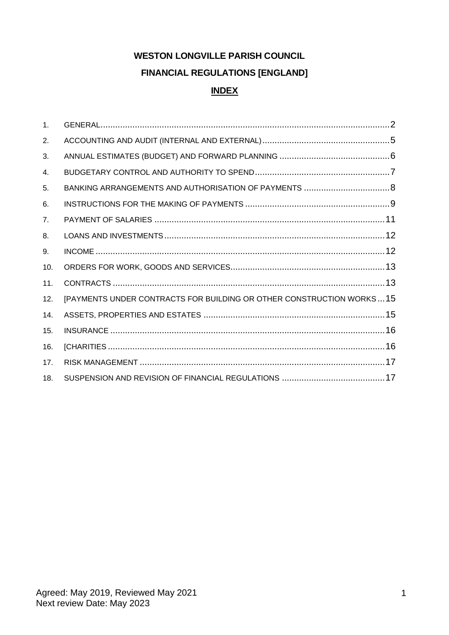# **WESTON LONGVILLE PARISH COUNCIL FINANCIAL REGULATIONS [ENGLAND] INDEX**

| $\mathbf{1}$ . |                                                                      |  |
|----------------|----------------------------------------------------------------------|--|
| 2.             |                                                                      |  |
| 3.             |                                                                      |  |
| 4.             |                                                                      |  |
| 5.             |                                                                      |  |
| 6.             |                                                                      |  |
| 7.             |                                                                      |  |
| 8.             |                                                                      |  |
| 9.             |                                                                      |  |
| 10.            |                                                                      |  |
| 11.            |                                                                      |  |
| 12.            | [PAYMENTS UNDER CONTRACTS FOR BUILDING OR OTHER CONSTRUCTION WORKS15 |  |
| 14.            |                                                                      |  |
| 15.            |                                                                      |  |
| 16.            |                                                                      |  |
| 17.            |                                                                      |  |
| 18.            |                                                                      |  |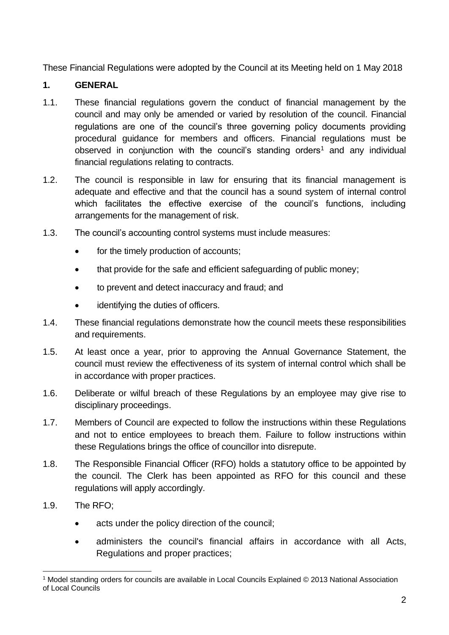These Financial Regulations were adopted by the Council at its Meeting held on 1 May 2018

#### <span id="page-1-0"></span>**1. GENERAL**

- 1.1. These financial regulations govern the conduct of financial management by the council and may only be amended or varied by resolution of the council. Financial regulations are one of the council's three governing policy documents providing procedural guidance for members and officers. Financial regulations must be observed in conjunction with the council's standing orders<sup>1</sup> and any individual financial regulations relating to contracts.
- 1.2. The council is responsible in law for ensuring that its financial management is adequate and effective and that the council has a sound system of internal control which facilitates the effective exercise of the council's functions, including arrangements for the management of risk.
- 1.3. The council's accounting control systems must include measures:
	- for the timely production of accounts;
	- that provide for the safe and efficient safeguarding of public money;
	- to prevent and detect inaccuracy and fraud; and
	- identifying the duties of officers.
- 1.4. These financial regulations demonstrate how the council meets these responsibilities and requirements.
- 1.5. At least once a year, prior to approving the Annual Governance Statement, the council must review the effectiveness of its system of internal control which shall be in accordance with proper practices.
- 1.6. Deliberate or wilful breach of these Regulations by an employee may give rise to disciplinary proceedings.
- 1.7. Members of Council are expected to follow the instructions within these Regulations and not to entice employees to breach them. Failure to follow instructions within these Regulations brings the office of councillor into disrepute.
- 1.8. The Responsible Financial Officer (RFO) holds a statutory office to be appointed by the council. The Clerk has been appointed as RFO for this council and these regulations will apply accordingly.
- 1.9. The RFO;
	- acts under the policy direction of the council;
	- administers the council's financial affairs in accordance with all Acts, Regulations and proper practices;

<sup>1</sup> Model standing orders for councils are available in Local Councils Explained © 2013 National Association of Local Councils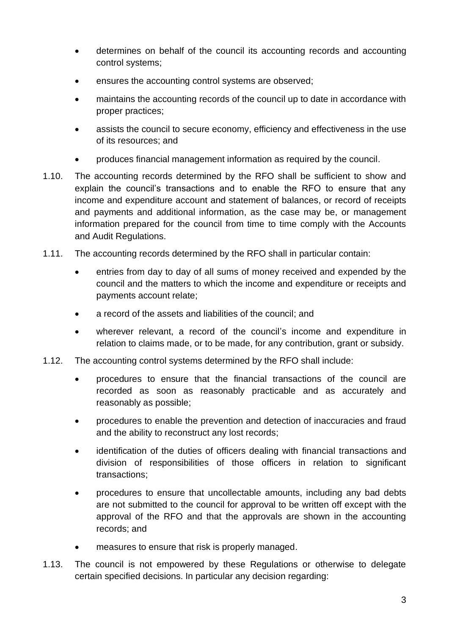- determines on behalf of the council its accounting records and accounting control systems;
- ensures the accounting control systems are observed;
- maintains the accounting records of the council up to date in accordance with proper practices;
- assists the council to secure economy, efficiency and effectiveness in the use of its resources; and
- produces financial management information as required by the council.
- 1.10. The accounting records determined by the RFO shall be sufficient to show and explain the council's transactions and to enable the RFO to ensure that any income and expenditure account and statement of balances, or record of receipts and payments and additional information, as the case may be, or management information prepared for the council from time to time comply with the Accounts and Audit Regulations.
- 1.11. The accounting records determined by the RFO shall in particular contain:
	- entries from day to day of all sums of money received and expended by the council and the matters to which the income and expenditure or receipts and payments account relate;
	- a record of the assets and liabilities of the council; and
	- wherever relevant, a record of the council's income and expenditure in relation to claims made, or to be made, for any contribution, grant or subsidy.
- 1.12. The accounting control systems determined by the RFO shall include:
	- procedures to ensure that the financial transactions of the council are recorded as soon as reasonably practicable and as accurately and reasonably as possible;
	- procedures to enable the prevention and detection of inaccuracies and fraud and the ability to reconstruct any lost records;
	- identification of the duties of officers dealing with financial transactions and division of responsibilities of those officers in relation to significant transactions;
	- procedures to ensure that uncollectable amounts, including any bad debts are not submitted to the council for approval to be written off except with the approval of the RFO and that the approvals are shown in the accounting records; and
	- measures to ensure that risk is properly managed.
- 1.13. The council is not empowered by these Regulations or otherwise to delegate certain specified decisions. In particular any decision regarding: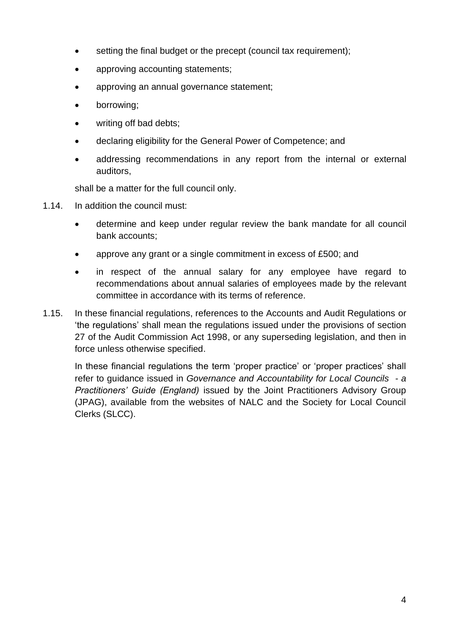- setting the final budget or the precept (council tax requirement);
- approving accounting statements;
- approving an annual governance statement;
- borrowing;
- writing off bad debts;
- declaring eligibility for the General Power of Competence; and
- addressing recommendations in any report from the internal or external auditors,

shall be a matter for the full council only.

- 1.14. In addition the council must:
	- determine and keep under regular review the bank mandate for all council bank accounts;
	- approve any grant or a single commitment in excess of £500; and
	- in respect of the annual salary for any employee have regard to recommendations about annual salaries of employees made by the relevant committee in accordance with its terms of reference.
- 1.15. In these financial regulations, references to the Accounts and Audit Regulations or 'the regulations' shall mean the regulations issued under the provisions of section 27 of the Audit Commission Act 1998, or any superseding legislation, and then in force unless otherwise specified.

<span id="page-3-0"></span>In these financial regulations the term 'proper practice' or 'proper practices' shall refer to guidance issued in *Governance and Accountability for Local Councils - a Practitioners' Guide (England)* issued by the Joint Practitioners Advisory Group (JPAG), available from the websites of NALC and the Society for Local Council Clerks (SLCC).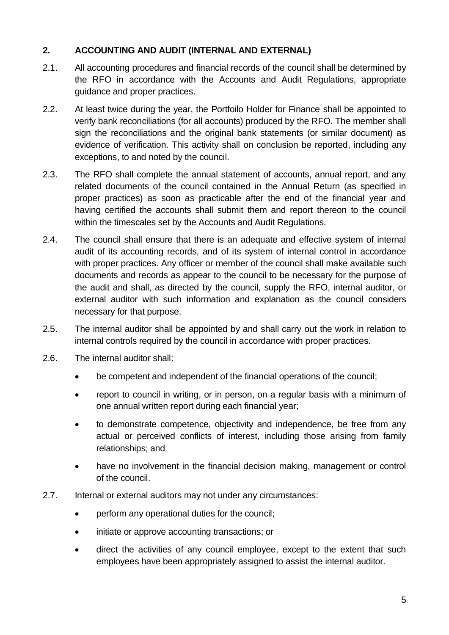# **2. ACCOUNTING AND AUDIT (INTERNAL AND EXTERNAL)**

- 2.1. All accounting procedures and financial records of the council shall be determined by the RFO in accordance with the Accounts and Audit Regulations, appropriate guidance and proper practices.
- 2.2. At least twice during the year, the Portfoilo Holder for Finance shall be appointed to verify bank reconciliations (for all accounts) produced by the RFO. The member shall sign the reconciliations and the original bank statements (or similar document) as evidence of verification. This activity shall on conclusion be reported, including any exceptions, to and noted by the council.
- 2.3. The RFO shall complete the annual statement of accounts, annual report, and any related documents of the council contained in the Annual Return (as specified in proper practices) as soon as practicable after the end of the financial year and having certified the accounts shall submit them and report thereon to the council within the timescales set by the Accounts and Audit Regulations.
- 2.4. The council shall ensure that there is an adequate and effective system of internal audit of its accounting records, and of its system of internal control in accordance with proper practices. Any officer or member of the council shall make available such documents and records as appear to the council to be necessary for the purpose of the audit and shall, as directed by the council, supply the RFO, internal auditor, or external auditor with such information and explanation as the council considers necessary for that purpose.
- 2.5. The internal auditor shall be appointed by and shall carry out the work in relation to internal controls required by the council in accordance with proper practices.
- 2.6. The internal auditor shall:
	- be competent and independent of the financial operations of the council;
	- report to council in writing, or in person, on a regular basis with a minimum of one annual written report during each financial year;
	- to demonstrate competence, objectivity and independence, be free from any actual or perceived conflicts of interest, including those arising from family relationships; and
	- have no involvement in the financial decision making, management or control of the council.
- 2.7. Internal or external auditors may not under any circumstances:
	- perform any operational duties for the council;
	- initiate or approve accounting transactions; or
	- direct the activities of any council employee, except to the extent that such employees have been appropriately assigned to assist the internal auditor.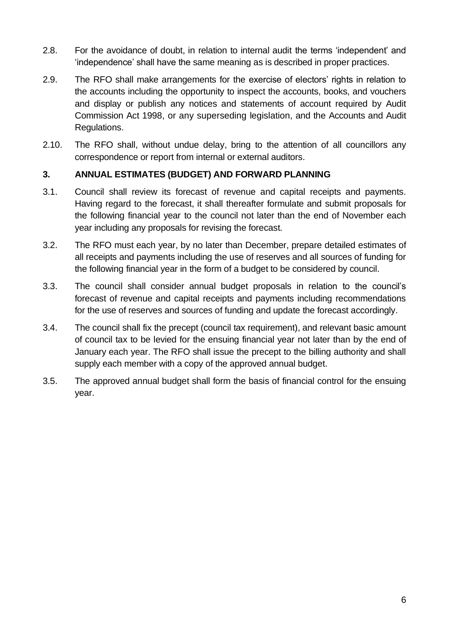- 2.8. For the avoidance of doubt, in relation to internal audit the terms 'independent' and 'independence' shall have the same meaning as is described in proper practices.
- 2.9. The RFO shall make arrangements for the exercise of electors' rights in relation to the accounts including the opportunity to inspect the accounts, books, and vouchers and display or publish any notices and statements of account required by Audit Commission Act 1998, or any superseding legislation, and the Accounts and Audit Regulations.
- 2.10. The RFO shall, without undue delay, bring to the attention of all councillors any correspondence or report from internal or external auditors.

#### <span id="page-5-0"></span>**3. ANNUAL ESTIMATES (BUDGET) AND FORWARD PLANNING**

- 3.1. Council shall review its forecast of revenue and capital receipts and payments. Having regard to the forecast, it shall thereafter formulate and submit proposals for the following financial year to the council not later than the end of November each year including any proposals for revising the forecast.
- 3.2. The RFO must each year, by no later than December, prepare detailed estimates of all receipts and payments including the use of reserves and all sources of funding for the following financial year in the form of a budget to be considered by council.
- 3.3. The council shall consider annual budget proposals in relation to the council's forecast of revenue and capital receipts and payments including recommendations for the use of reserves and sources of funding and update the forecast accordingly.
- 3.4. The council shall fix the precept (council tax requirement), and relevant basic amount of council tax to be levied for the ensuing financial year not later than by the end of January each year. The RFO shall issue the precept to the billing authority and shall supply each member with a copy of the approved annual budget.
- <span id="page-5-1"></span>3.5. The approved annual budget shall form the basis of financial control for the ensuing year.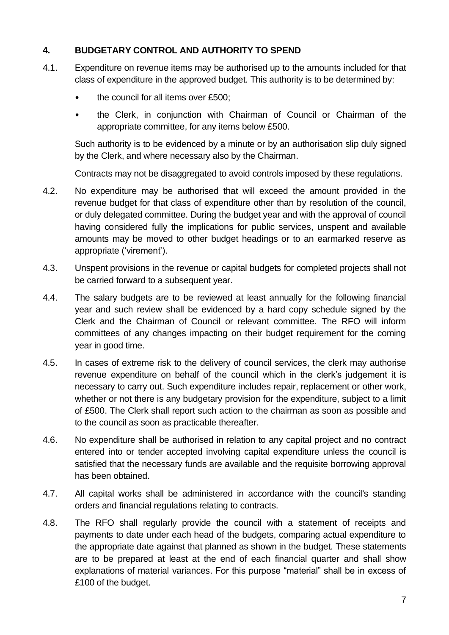#### **4. BUDGETARY CONTROL AND AUTHORITY TO SPEND**

- 4.1. Expenditure on revenue items may be authorised up to the amounts included for that class of expenditure in the approved budget. This authority is to be determined by:
	- the council for all items over £500;
	- the Clerk, in conjunction with Chairman of Council or Chairman of the appropriate committee, for any items below £500.

Such authority is to be evidenced by a minute or by an authorisation slip duly signed by the Clerk, and where necessary also by the Chairman.

Contracts may not be disaggregated to avoid controls imposed by these regulations.

- 4.2. No expenditure may be authorised that will exceed the amount provided in the revenue budget for that class of expenditure other than by resolution of the council, or duly delegated committee. During the budget year and with the approval of council having considered fully the implications for public services, unspent and available amounts may be moved to other budget headings or to an earmarked reserve as appropriate ('virement').
- 4.3. Unspent provisions in the revenue or capital budgets for completed projects shall not be carried forward to a subsequent year.
- 4.4. The salary budgets are to be reviewed at least annually for the following financial year and such review shall be evidenced by a hard copy schedule signed by the Clerk and the Chairman of Council or relevant committee. The RFO will inform committees of any changes impacting on their budget requirement for the coming year in good time.
- 4.5. In cases of extreme risk to the delivery of council services, the clerk may authorise revenue expenditure on behalf of the council which in the clerk's judgement it is necessary to carry out. Such expenditure includes repair, replacement or other work, whether or not there is any budgetary provision for the expenditure, subject to a limit of £500. The Clerk shall report such action to the chairman as soon as possible and to the council as soon as practicable thereafter.
- 4.6. No expenditure shall be authorised in relation to any capital project and no contract entered into or tender accepted involving capital expenditure unless the council is satisfied that the necessary funds are available and the requisite borrowing approval has been obtained.
- 4.7. All capital works shall be administered in accordance with the council's standing orders and financial regulations relating to contracts.
- 4.8. The RFO shall regularly provide the council with a statement of receipts and payments to date under each head of the budgets, comparing actual expenditure to the appropriate date against that planned as shown in the budget. These statements are to be prepared at least at the end of each financial quarter and shall show explanations of material variances. For this purpose "material" shall be in excess of £100 of the budget.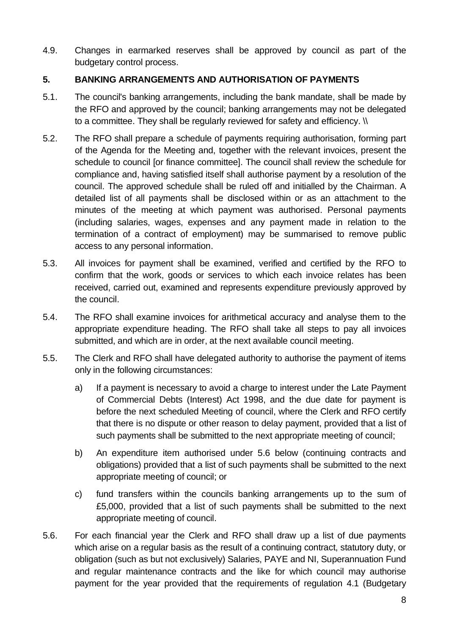4.9. Changes in earmarked reserves shall be approved by council as part of the budgetary control process.

#### <span id="page-7-0"></span>**5. BANKING ARRANGEMENTS AND AUTHORISATION OF PAYMENTS**

- 5.1. The council's banking arrangements, including the bank mandate, shall be made by the RFO and approved by the council; banking arrangements may not be delegated to a committee. They shall be regularly reviewed for safety and efficiency. \\
- 5.2. The RFO shall prepare a schedule of payments requiring authorisation, forming part of the Agenda for the Meeting and, together with the relevant invoices, present the schedule to council [or finance committee]. The council shall review the schedule for compliance and, having satisfied itself shall authorise payment by a resolution of the council. The approved schedule shall be ruled off and initialled by the Chairman. A detailed list of all payments shall be disclosed within or as an attachment to the minutes of the meeting at which payment was authorised. Personal payments (including salaries, wages, expenses and any payment made in relation to the termination of a contract of employment) may be summarised to remove public access to any personal information.
- 5.3. All invoices for payment shall be examined, verified and certified by the RFO to confirm that the work, goods or services to which each invoice relates has been received, carried out, examined and represents expenditure previously approved by the council.
- 5.4. The RFO shall examine invoices for arithmetical accuracy and analyse them to the appropriate expenditure heading. The RFO shall take all steps to pay all invoices submitted, and which are in order, at the next available council meeting.
- 5.5. The Clerk and RFO shall have delegated authority to authorise the payment of items only in the following circumstances:
	- a) If a payment is necessary to avoid a charge to interest under the Late Payment of Commercial Debts (Interest) Act 1998, and the due date for payment is before the next scheduled Meeting of council, where the Clerk and RFO certify that there is no dispute or other reason to delay payment, provided that a list of such payments shall be submitted to the next appropriate meeting of council;
	- b) An expenditure item authorised under 5.6 below (continuing contracts and obligations) provided that a list of such payments shall be submitted to the next appropriate meeting of council; or
	- c) fund transfers within the councils banking arrangements up to the sum of £5,000, provided that a list of such payments shall be submitted to the next appropriate meeting of council.
- 5.6. For each financial year the Clerk and RFO shall draw up a list of due payments which arise on a regular basis as the result of a continuing contract, statutory duty, or obligation (such as but not exclusively) Salaries, PAYE and NI, Superannuation Fund and regular maintenance contracts and the like for which council may authorise payment for the year provided that the requirements of regulation 4.1 (Budgetary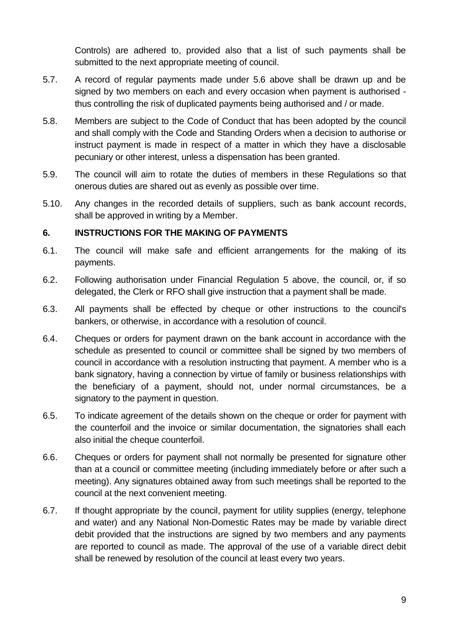Controls) are adhered to, provided also that a list of such payments shall be submitted to the next appropriate meeting of council.

- 5.7. A record of regular payments made under 5.6 above shall be drawn up and be signed by two members on each and every occasion when payment is authorised thus controlling the risk of duplicated payments being authorised and / or made.
- 5.8. Members are subject to the Code of Conduct that has been adopted by the council and shall comply with the Code and Standing Orders when a decision to authorise or instruct payment is made in respect of a matter in which they have a disclosable pecuniary or other interest, unless a dispensation has been granted.
- 5.9. The council will aim to rotate the duties of members in these Regulations so that onerous duties are shared out as evenly as possible over time.
- 5.10. Any changes in the recorded details of suppliers, such as bank account records, shall be approved in writing by a Member.

#### <span id="page-8-0"></span>**6. INSTRUCTIONS FOR THE MAKING OF PAYMENTS**

- 6.1. The council will make safe and efficient arrangements for the making of its payments.
- 6.2. Following authorisation under Financial Regulation 5 above, the council, or, if so delegated, the Clerk or RFO shall give instruction that a payment shall be made.
- 6.3. All payments shall be effected by cheque or other instructions to the council's bankers, or otherwise, in accordance with a resolution of council.
- 6.4. Cheques or orders for payment drawn on the bank account in accordance with the schedule as presented to council or committee shall be signed by two members of council in accordance with a resolution instructing that payment. A member who is a bank signatory, having a connection by virtue of family or business relationships with the beneficiary of a payment, should not, under normal circumstances, be a signatory to the payment in question.
- 6.5. To indicate agreement of the details shown on the cheque or order for payment with the counterfoil and the invoice or similar documentation, the signatories shall each also initial the cheque counterfoil.
- 6.6. Cheques or orders for payment shall not normally be presented for signature other than at a council or committee meeting (including immediately before or after such a meeting). Any signatures obtained away from such meetings shall be reported to the council at the next convenient meeting.
- 6.7. If thought appropriate by the council, payment for utility supplies (energy, telephone and water) and any National Non-Domestic Rates may be made by variable direct debit provided that the instructions are signed by two members and any payments are reported to council as made. The approval of the use of a variable direct debit shall be renewed by resolution of the council at least every two years.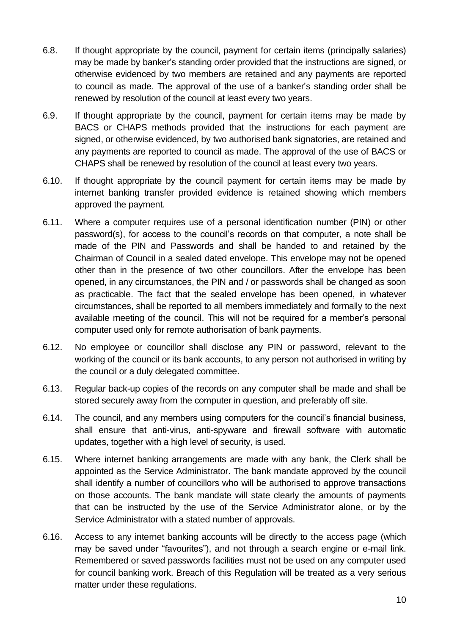- 6.8. If thought appropriate by the council, payment for certain items (principally salaries) may be made by banker's standing order provided that the instructions are signed, or otherwise evidenced by two members are retained and any payments are reported to council as made. The approval of the use of a banker's standing order shall be renewed by resolution of the council at least every two years.
- 6.9. If thought appropriate by the council, payment for certain items may be made by BACS or CHAPS methods provided that the instructions for each payment are signed, or otherwise evidenced, by two authorised bank signatories, are retained and any payments are reported to council as made. The approval of the use of BACS or CHAPS shall be renewed by resolution of the council at least every two years.
- 6.10. If thought appropriate by the council payment for certain items may be made by internet banking transfer provided evidence is retained showing which members approved the payment.
- 6.11. Where a computer requires use of a personal identification number (PIN) or other password(s), for access to the council's records on that computer, a note shall be made of the PIN and Passwords and shall be handed to and retained by the Chairman of Council in a sealed dated envelope. This envelope may not be opened other than in the presence of two other councillors. After the envelope has been opened, in any circumstances, the PIN and / or passwords shall be changed as soon as practicable. The fact that the sealed envelope has been opened, in whatever circumstances, shall be reported to all members immediately and formally to the next available meeting of the council. This will not be required for a member's personal computer used only for remote authorisation of bank payments.
- 6.12. No employee or councillor shall disclose any PIN or password, relevant to the working of the council or its bank accounts, to any person not authorised in writing by the council or a duly delegated committee.
- 6.13. Regular back-up copies of the records on any computer shall be made and shall be stored securely away from the computer in question, and preferably off site.
- 6.14. The council, and any members using computers for the council's financial business, shall ensure that anti-virus, anti-spyware and firewall software with automatic updates, together with a high level of security, is used.
- 6.15. Where internet banking arrangements are made with any bank, the Clerk shall be appointed as the Service Administrator. The bank mandate approved by the council shall identify a number of councillors who will be authorised to approve transactions on those accounts. The bank mandate will state clearly the amounts of payments that can be instructed by the use of the Service Administrator alone, or by the Service Administrator with a stated number of approvals.
- 6.16. Access to any internet banking accounts will be directly to the access page (which may be saved under "favourites"), and not through a search engine or e-mail link. Remembered or saved passwords facilities must not be used on any computer used for council banking work. Breach of this Regulation will be treated as a very serious matter under these regulations.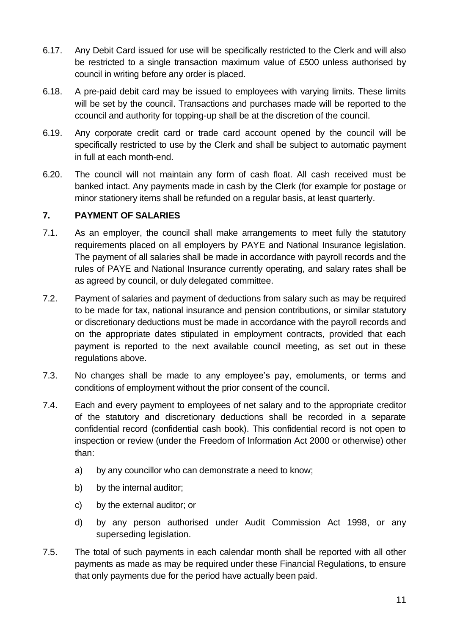- 6.17. Any Debit Card issued for use will be specifically restricted to the Clerk and will also be restricted to a single transaction maximum value of £500 unless authorised by council in writing before any order is placed.
- 6.18. A pre-paid debit card may be issued to employees with varying limits. These limits will be set by the council. Transactions and purchases made will be reported to the ccouncil and authority for topping-up shall be at the discretion of the council.
- 6.19. Any corporate credit card or trade card account opened by the council will be specifically restricted to use by the Clerk and shall be subject to automatic payment in full at each month-end.
- 6.20. The council will not maintain any form of cash float. All cash received must be banked intact. Any payments made in cash by the Clerk (for example for postage or minor stationery items shall be refunded on a regular basis, at least quarterly.

#### <span id="page-10-0"></span>**7. PAYMENT OF SALARIES**

- 7.1. As an employer, the council shall make arrangements to meet fully the statutory requirements placed on all employers by PAYE and National Insurance legislation. The payment of all salaries shall be made in accordance with payroll records and the rules of PAYE and National Insurance currently operating, and salary rates shall be as agreed by council, or duly delegated committee.
- 7.2. Payment of salaries and payment of deductions from salary such as may be required to be made for tax, national insurance and pension contributions, or similar statutory or discretionary deductions must be made in accordance with the payroll records and on the appropriate dates stipulated in employment contracts, provided that each payment is reported to the next available council meeting, as set out in these regulations above.
- 7.3. No changes shall be made to any employee's pay, emoluments, or terms and conditions of employment without the prior consent of the council.
- 7.4. Each and every payment to employees of net salary and to the appropriate creditor of the statutory and discretionary deductions shall be recorded in a separate confidential record (confidential cash book). This confidential record is not open to inspection or review (under the Freedom of Information Act 2000 or otherwise) other than:
	- a) by any councillor who can demonstrate a need to know;
	- b) by the internal auditor;
	- c) by the external auditor; or
	- d) by any person authorised under Audit Commission Act 1998, or any superseding legislation.
- 7.5. The total of such payments in each calendar month shall be reported with all other payments as made as may be required under these Financial Regulations, to ensure that only payments due for the period have actually been paid.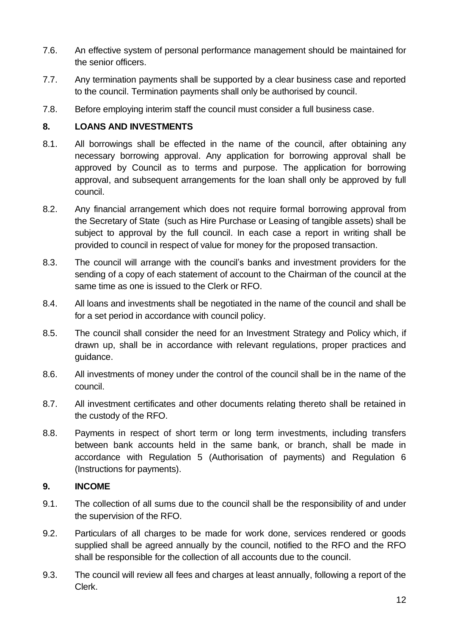- 7.6. An effective system of personal performance management should be maintained for the senior officers.
- 7.7. Any termination payments shall be supported by a clear business case and reported to the council. Termination payments shall only be authorised by council.
- 7.8. Before employing interim staff the council must consider a full business case.

# <span id="page-11-0"></span>**8. LOANS AND INVESTMENTS**

- 8.1. All borrowings shall be effected in the name of the council, after obtaining any necessary borrowing approval. Any application for borrowing approval shall be approved by Council as to terms and purpose. The application for borrowing approval, and subsequent arrangements for the loan shall only be approved by full council.
- 8.2. Any financial arrangement which does not require formal borrowing approval from the Secretary of State (such as Hire Purchase or Leasing of tangible assets) shall be subject to approval by the full council. In each case a report in writing shall be provided to council in respect of value for money for the proposed transaction.
- 8.3. The council will arrange with the council's banks and investment providers for the sending of a copy of each statement of account to the Chairman of the council at the same time as one is issued to the Clerk or RFO.
- 8.4. All loans and investments shall be negotiated in the name of the council and shall be for a set period in accordance with council policy.
- 8.5. The council shall consider the need for an Investment Strategy and Policy which, if drawn up, shall be in accordance with relevant regulations, proper practices and guidance.
- 8.6. All investments of money under the control of the council shall be in the name of the council.
- 8.7. All investment certificates and other documents relating thereto shall be retained in the custody of the RFO.
- 8.8. Payments in respect of short term or long term investments, including transfers between bank accounts held in the same bank, or branch, shall be made in accordance with Regulation 5 (Authorisation of payments) and Regulation 6 (Instructions for payments).

# <span id="page-11-1"></span>**9. INCOME**

- 9.1. The collection of all sums due to the council shall be the responsibility of and under the supervision of the RFO.
- 9.2. Particulars of all charges to be made for work done, services rendered or goods supplied shall be agreed annually by the council, notified to the RFO and the RFO shall be responsible for the collection of all accounts due to the council.
- 9.3. The council will review all fees and charges at least annually, following a report of the Clerk.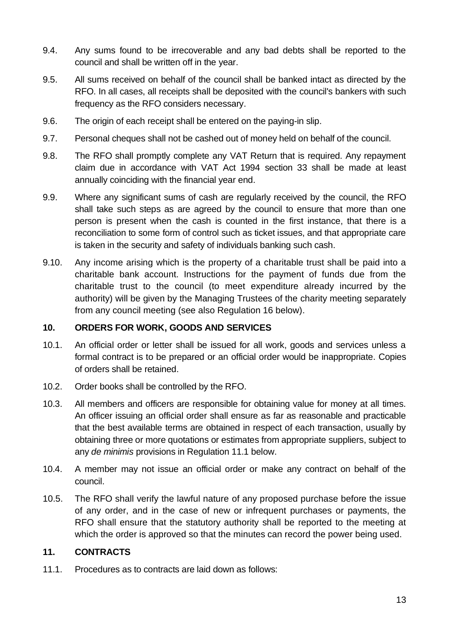- 9.4. Any sums found to be irrecoverable and any bad debts shall be reported to the council and shall be written off in the year.
- 9.5. All sums received on behalf of the council shall be banked intact as directed by the RFO. In all cases, all receipts shall be deposited with the council's bankers with such frequency as the RFO considers necessary.
- 9.6. The origin of each receipt shall be entered on the paying-in slip.
- 9.7. Personal cheques shall not be cashed out of money held on behalf of the council.
- 9.8. The RFO shall promptly complete any VAT Return that is required. Any repayment claim due in accordance with VAT Act 1994 section 33 shall be made at least annually coinciding with the financial year end.
- 9.9. Where any significant sums of cash are regularly received by the council, the RFO shall take such steps as are agreed by the council to ensure that more than one person is present when the cash is counted in the first instance, that there is a reconciliation to some form of control such as ticket issues, and that appropriate care is taken in the security and safety of individuals banking such cash.
- 9.10. Any income arising which is the property of a charitable trust shall be paid into a charitable bank account. Instructions for the payment of funds due from the charitable trust to the council (to meet expenditure already incurred by the authority) will be given by the Managing Trustees of the charity meeting separately from any council meeting (see also Regulation 16 below).

#### <span id="page-12-0"></span>**10. ORDERS FOR WORK, GOODS AND SERVICES**

- 10.1. An official order or letter shall be issued for all work, goods and services unless a formal contract is to be prepared or an official order would be inappropriate. Copies of orders shall be retained.
- 10.2. Order books shall be controlled by the RFO.
- 10.3. All members and officers are responsible for obtaining value for money at all times. An officer issuing an official order shall ensure as far as reasonable and practicable that the best available terms are obtained in respect of each transaction, usually by obtaining three or more quotations or estimates from appropriate suppliers, subject to any *de minimis* provisions in Regulation 11.1 below.
- 10.4. A member may not issue an official order or make any contract on behalf of the council.
- 10.5. The RFO shall verify the lawful nature of any proposed purchase before the issue of any order, and in the case of new or infrequent purchases or payments, the RFO shall ensure that the statutory authority shall be reported to the meeting at which the order is approved so that the minutes can record the power being used.

#### <span id="page-12-1"></span>**11. CONTRACTS**

11.1. Procedures as to contracts are laid down as follows: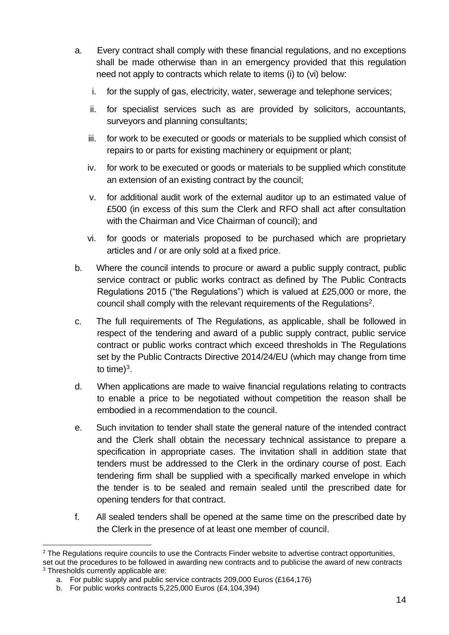- a. Every contract shall comply with these financial regulations, and no exceptions shall be made otherwise than in an emergency provided that this regulation need not apply to contracts which relate to items (i) to (vi) below:
	- i. for the supply of gas, electricity, water, sewerage and telephone services;
	- ii. for specialist services such as are provided by solicitors, accountants, surveyors and planning consultants;
	- iii. for work to be executed or goods or materials to be supplied which consist of repairs to or parts for existing machinery or equipment or plant;
	- iv. for work to be executed or goods or materials to be supplied which constitute an extension of an existing contract by the council;
	- v. for additional audit work of the external auditor up to an estimated value of £500 (in excess of this sum the Clerk and RFO shall act after consultation with the Chairman and Vice Chairman of council); and
	- vi. for goods or materials proposed to be purchased which are proprietary articles and / or are only sold at a fixed price.
- b. Where the council intends to procure or award a public supply contract, public service contract or public works contract as defined by The Public Contracts Regulations 2015 ("the Regulations") which is valued at £25,000 or more, the council shall comply with the relevant requirements of the Regulations<sup>2</sup>.
- c. The full requirements of The Regulations, as applicable, shall be followed in respect of the tendering and award of a public supply contract, public service contract or public works contract which exceed thresholds in The Regulations set by the Public Contracts Directive 2014/24/EU (which may change from time to time)<sup>3</sup>.
- d. When applications are made to waive financial regulations relating to contracts to enable a price to be negotiated without competition the reason shall be embodied in a recommendation to the council.
- e. Such invitation to tender shall state the general nature of the intended contract and the Clerk shall obtain the necessary technical assistance to prepare a specification in appropriate cases. The invitation shall in addition state that tenders must be addressed to the Clerk in the ordinary course of post. Each tendering firm shall be supplied with a specifically marked envelope in which the tender is to be sealed and remain sealed until the prescribed date for opening tenders for that contract.
- f. All sealed tenders shall be opened at the same time on the prescribed date by the Clerk in the presence of at least one member of council.

<sup>&</sup>lt;sup>2</sup> The Regulations require councils to use the Contracts Finder website to advertise contract opportunities, set out the procedures to be followed in awarding new contracts and to publicise the award of new contracts <sup>3</sup> Thresholds currently applicable are:

a. For public supply and public service contracts 209,000 Euros (£164,176)

b. For public works contracts 5,225,000 Euros (£4,104,394)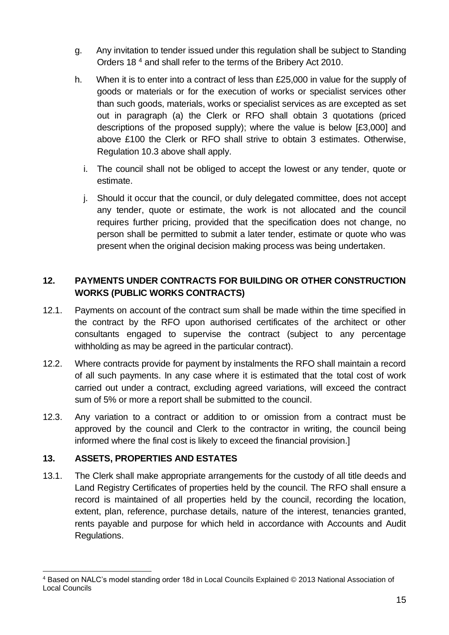- g. Any invitation to tender issued under this regulation shall be subject to Standing Orders 18 <sup>4</sup> and shall refer to the terms of the Bribery Act 2010.
- h. When it is to enter into a contract of less than £25,000 in value for the supply of goods or materials or for the execution of works or specialist services other than such goods, materials, works or specialist services as are excepted as set out in paragraph (a) the Clerk or RFO shall obtain 3 quotations (priced descriptions of the proposed supply); where the value is below [£3,000] and above £100 the Clerk or RFO shall strive to obtain 3 estimates. Otherwise, Regulation 10.3 above shall apply.
	- i. The council shall not be obliged to accept the lowest or any tender, quote or estimate.
	- j. Should it occur that the council, or duly delegated committee, does not accept any tender, quote or estimate, the work is not allocated and the council requires further pricing, provided that the specification does not change, no person shall be permitted to submit a later tender, estimate or quote who was present when the original decision making process was being undertaken.

# <span id="page-14-0"></span>**12. PAYMENTS UNDER CONTRACTS FOR BUILDING OR OTHER CONSTRUCTION WORKS (PUBLIC WORKS CONTRACTS)**

- 12.1. Payments on account of the contract sum shall be made within the time specified in the contract by the RFO upon authorised certificates of the architect or other consultants engaged to supervise the contract (subject to any percentage withholding as may be agreed in the particular contract).
- 12.2. Where contracts provide for payment by instalments the RFO shall maintain a record of all such payments. In any case where it is estimated that the total cost of work carried out under a contract, excluding agreed variations, will exceed the contract sum of 5% or more a report shall be submitted to the council.
- 12.3. Any variation to a contract or addition to or omission from a contract must be approved by the council and Clerk to the contractor in writing, the council being informed where the final cost is likely to exceed the financial provision.]

# <span id="page-14-1"></span>**13. ASSETS, PROPERTIES AND ESTATES**

13.1. The Clerk shall make appropriate arrangements for the custody of all title deeds and Land Registry Certificates of properties held by the council. The RFO shall ensure a record is maintained of all properties held by the council, recording the location, extent, plan, reference, purchase details, nature of the interest, tenancies granted, rents payable and purpose for which held in accordance with Accounts and Audit Regulations.

<sup>4</sup> Based on NALC's model standing order 18d in Local Councils Explained © 2013 National Association of Local Councils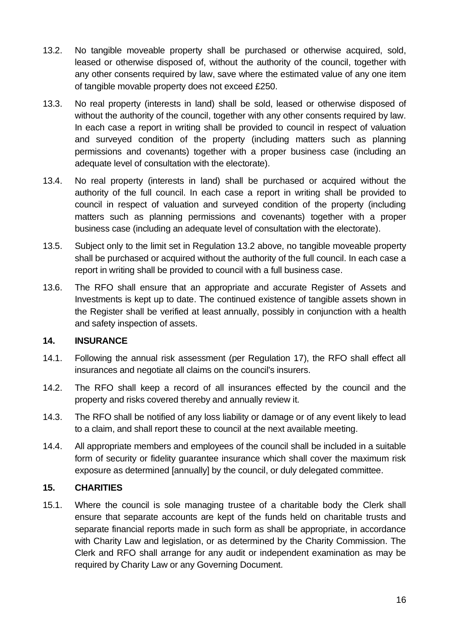- 13.2. No tangible moveable property shall be purchased or otherwise acquired, sold, leased or otherwise disposed of, without the authority of the council, together with any other consents required by law, save where the estimated value of any one item of tangible movable property does not exceed £250.
- 13.3. No real property (interests in land) shall be sold, leased or otherwise disposed of without the authority of the council, together with any other consents required by law. In each case a report in writing shall be provided to council in respect of valuation and surveyed condition of the property (including matters such as planning permissions and covenants) together with a proper business case (including an adequate level of consultation with the electorate).
- 13.4. No real property (interests in land) shall be purchased or acquired without the authority of the full council. In each case a report in writing shall be provided to council in respect of valuation and surveyed condition of the property (including matters such as planning permissions and covenants) together with a proper business case (including an adequate level of consultation with the electorate).
- 13.5. Subject only to the limit set in Regulation 13.2 above, no tangible moveable property shall be purchased or acquired without the authority of the full council. In each case a report in writing shall be provided to council with a full business case.
- 13.6. The RFO shall ensure that an appropriate and accurate Register of Assets and Investments is kept up to date. The continued existence of tangible assets shown in the Register shall be verified at least annually, possibly in conjunction with a health and safety inspection of assets.

# <span id="page-15-0"></span>**14. INSURANCE**

- 14.1. Following the annual risk assessment (per Regulation 17), the RFO shall effect all insurances and negotiate all claims on the council's insurers.
- 14.2. The RFO shall keep a record of all insurances effected by the council and the property and risks covered thereby and annually review it.
- 14.3. The RFO shall be notified of any loss liability or damage or of any event likely to lead to a claim, and shall report these to council at the next available meeting.
- 14.4. All appropriate members and employees of the council shall be included in a suitable form of security or fidelity guarantee insurance which shall cover the maximum risk exposure as determined [annually] by the council, or duly delegated committee.

# <span id="page-15-1"></span>**15. CHARITIES**

15.1. Where the council is sole managing trustee of a charitable body the Clerk shall ensure that separate accounts are kept of the funds held on charitable trusts and separate financial reports made in such form as shall be appropriate, in accordance with Charity Law and legislation, or as determined by the Charity Commission. The Clerk and RFO shall arrange for any audit or independent examination as may be required by Charity Law or any Governing Document.